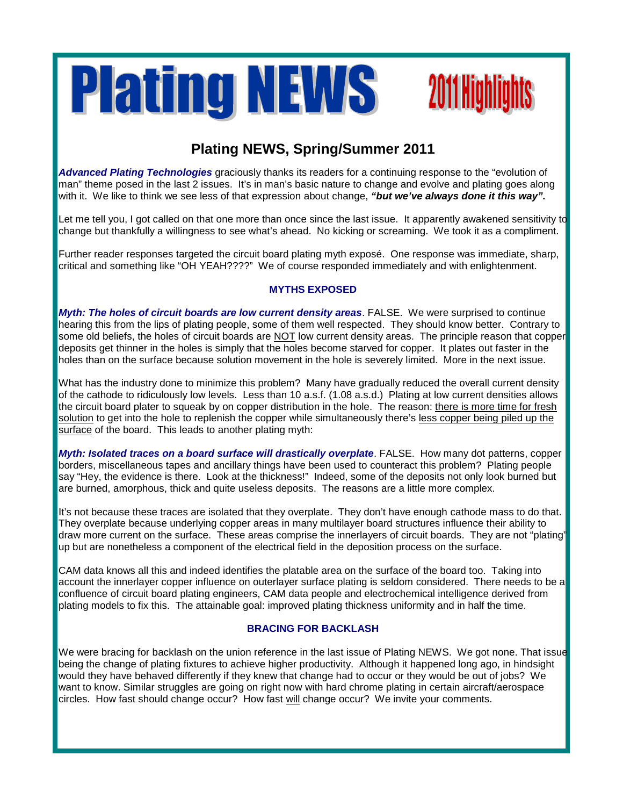



# **Plating NEWS, Spring/Summer 2011**

*Advanced Plating Technologies* graciously thanks its readers for a continuing response to the "evolution of man" theme posed in the last 2 issues. It's in man's basic nature to change and evolve and plating goes along with it. We like to think we see less of that expression about change, *"but we've always done it this way".*

Let me tell you, I got called on that one more than once since the last issue. It apparently awakened sensitivity to change but thankfully a willingness to see what's ahead. No kicking or screaming. We took it as a compliment.

Further reader responses targeted the circuit board plating myth exposé. One response was immediate, sharp, critical and something like "OH YEAH????" We of course responded immediately and with enlightenment.

### **MYTHS EXPOSED**

*Myth: The holes of circuit boards are low current density areas*. FALSE. We were surprised to continue hearing this from the lips of plating people, some of them well respected. They should know better. Contrary to some old beliefs, the holes of circuit boards are NOT low current density areas. The principle reason that copper deposits get thinner in the holes is simply that the holes become starved for copper. It plates out faster in the holes than on the surface because solution movement in the hole is severely limited. More in the next issue.

What has the industry done to minimize this problem? Many have gradually reduced the overall current density of the cathode to ridiculously low levels. Less than 10 a.s.f. (1.08 a.s.d.) Plating at low current densities allows the circuit board plater to squeak by on copper distribution in the hole. The reason: there is more time for fresh solution to get into the hole to replenish the copper while simultaneously there's less copper being piled up the surface of the board. This leads to another plating myth:

*Myth: Isolated traces on a board surface will drastically overplate*. FALSE. How many dot patterns, copper borders, miscellaneous tapes and ancillary things have been used to counteract this problem? Plating people say "Hey, the evidence is there. Look at the thickness!" Indeed, some of the deposits not only look burned but are burned, amorphous, thick and quite useless deposits. The reasons are a little more complex.

It's not because these traces are isolated that they overplate. They don't have enough cathode mass to do that. They overplate because underlying copper areas in many multilayer board structures influence their ability to draw more current on the surface. These areas comprise the innerlayers of circuit boards. They are not "plating" up but are nonetheless a component of the electrical field in the deposition process on the surface.

CAM data knows all this and indeed identifies the platable area on the surface of the board too. Taking into account the innerlayer copper influence on outerlayer surface plating is seldom considered. There needs to be a confluence of circuit board plating engineers, CAM data people and electrochemical intelligence derived from plating models to fix this. The attainable goal: improved plating thickness uniformity and in half the time.

### **BRACING FOR BACKLASH**

We were bracing for backlash on the union reference in the last issue of Plating NEWS. We got none. That issue being the change of plating fixtures to achieve higher productivity. Although it happened long ago, in hindsight would they have behaved differently if they knew that change had to occur or they would be out of jobs? We want to know. Similar struggles are going on right now with hard chrome plating in certain aircraft/aerospace circles. How fast should change occur? How fast will change occur? We invite your comments.